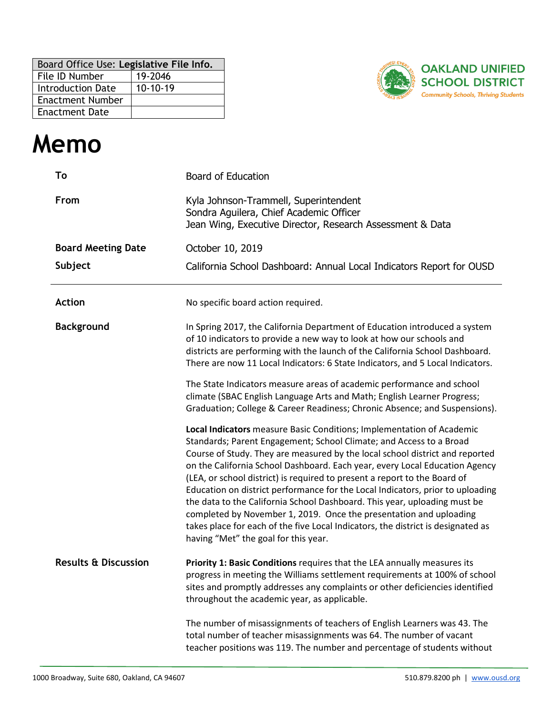| Board Office Use: Legislative File Info. |            |
|------------------------------------------|------------|
| File ID Number                           | 19-2046    |
| <b>Introduction Date</b>                 | $10-10-19$ |
| <b>Enactment Number</b>                  |            |
| <b>Enactment Date</b>                    |            |



## **Memo**

| To                              | <b>Board of Education</b>                                                                                                                                                                                                                                                                                                                                                                                                                                                                                                                                                                                                                                                                                                                                 |
|---------------------------------|-----------------------------------------------------------------------------------------------------------------------------------------------------------------------------------------------------------------------------------------------------------------------------------------------------------------------------------------------------------------------------------------------------------------------------------------------------------------------------------------------------------------------------------------------------------------------------------------------------------------------------------------------------------------------------------------------------------------------------------------------------------|
| From                            | Kyla Johnson-Trammell, Superintendent<br>Sondra Aguilera, Chief Academic Officer<br>Jean Wing, Executive Director, Research Assessment & Data                                                                                                                                                                                                                                                                                                                                                                                                                                                                                                                                                                                                             |
| <b>Board Meeting Date</b>       | October 10, 2019                                                                                                                                                                                                                                                                                                                                                                                                                                                                                                                                                                                                                                                                                                                                          |
| Subject                         | California School Dashboard: Annual Local Indicators Report for OUSD                                                                                                                                                                                                                                                                                                                                                                                                                                                                                                                                                                                                                                                                                      |
| <b>Action</b>                   | No specific board action required.                                                                                                                                                                                                                                                                                                                                                                                                                                                                                                                                                                                                                                                                                                                        |
| <b>Background</b>               | In Spring 2017, the California Department of Education introduced a system<br>of 10 indicators to provide a new way to look at how our schools and<br>districts are performing with the launch of the California School Dashboard.<br>There are now 11 Local Indicators: 6 State Indicators, and 5 Local Indicators.                                                                                                                                                                                                                                                                                                                                                                                                                                      |
|                                 | The State Indicators measure areas of academic performance and school<br>climate (SBAC English Language Arts and Math; English Learner Progress;<br>Graduation; College & Career Readiness; Chronic Absence; and Suspensions).                                                                                                                                                                                                                                                                                                                                                                                                                                                                                                                            |
|                                 | Local Indicators measure Basic Conditions; Implementation of Academic<br>Standards; Parent Engagement; School Climate; and Access to a Broad<br>Course of Study. They are measured by the local school district and reported<br>on the California School Dashboard. Each year, every Local Education Agency<br>(LEA, or school district) is required to present a report to the Board of<br>Education on district performance for the Local Indicators, prior to uploading<br>the data to the California School Dashboard. This year, uploading must be<br>completed by November 1, 2019. Once the presentation and uploading<br>takes place for each of the five Local Indicators, the district is designated as<br>having "Met" the goal for this year. |
| <b>Results &amp; Discussion</b> | Priority 1: Basic Conditions requires that the LEA annually measures its<br>progress in meeting the Williams settlement requirements at 100% of school<br>sites and promptly addresses any complaints or other deficiencies identified<br>throughout the academic year, as applicable.                                                                                                                                                                                                                                                                                                                                                                                                                                                                    |
|                                 | The number of misassignments of teachers of English Learners was 43. The<br>total number of teacher misassignments was 64. The number of vacant<br>teacher positions was 119. The number and percentage of students without                                                                                                                                                                                                                                                                                                                                                                                                                                                                                                                               |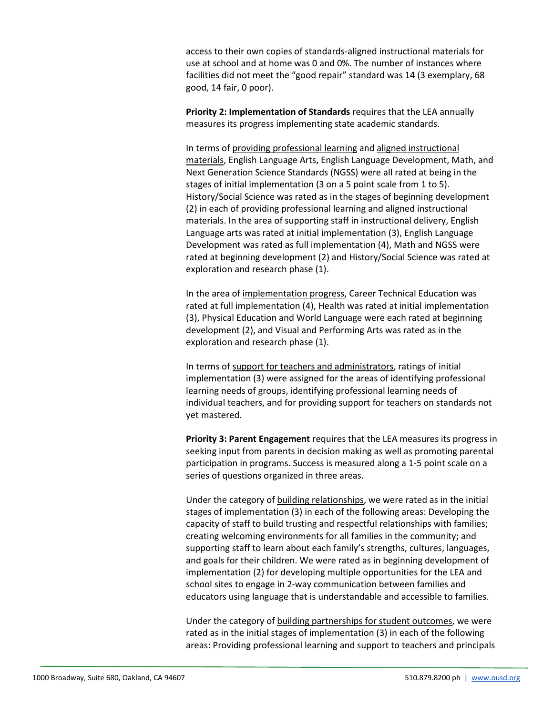access to their own copies of standards-aligned instructional materials for use at school and at home was 0 and 0%. The number of instances where facilities did not meet the "good repair" standard was 14 (3 exemplary, 68 good, 14 fair, 0 poor).

**Priority 2: Implementation of Standards** requires that the LEA annually measures its progress implementing state academic standards.

In terms of providing professional learning and aligned instructional materials, English Language Arts, English Language Development, Math, and Next Generation Science Standards (NGSS) were all rated at being in the stages of initial implementation (3 on a 5 point scale from 1 to 5). History/Social Science was rated as in the stages of beginning development (2) in each of providing professional learning and aligned instructional materials. In the area of supporting staff in instructional delivery, English Language arts was rated at initial implementation (3), English Language Development was rated as full implementation (4), Math and NGSS were rated at beginning development (2) and History/Social Science was rated at exploration and research phase (1).

In the area of implementation progress, Career Technical Education was rated at full implementation (4), Health was rated at initial implementation (3), Physical Education and World Language were each rated at beginning development (2), and Visual and Performing Arts was rated as in the exploration and research phase (1).

In terms of support for teachers and administrators, ratings of initial implementation (3) were assigned for the areas of identifying professional learning needs of groups, identifying professional learning needs of individual teachers, and for providing support for teachers on standards not yet mastered.

**Priority 3: Parent Engagement** requires that the LEA measures its progress in seeking input from parents in decision making as well as promoting parental participation in programs. Success is measured along a 1-5 point scale on a series of questions organized in three areas.

Under the category of building relationships, we were rated as in the initial stages of implementation (3) in each of the following areas: Developing the capacity of staff to build trusting and respectful relationships with families; creating welcoming environments for all families in the community; and supporting staff to learn about each family's strengths, cultures, languages, and goals for their children. We were rated as in beginning development of implementation (2) for developing multiple opportunities for the LEA and school sites to engage in 2-way communication between families and educators using language that is understandable and accessible to families.

Under the category of building partnerships for student outcomes, we were rated as in the initial stages of implementation (3) in each of the following areas: Providing professional learning and support to teachers and principals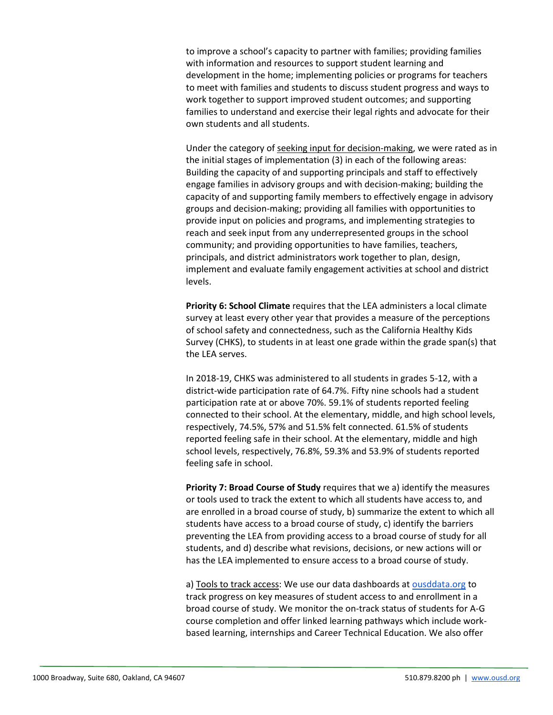to improve a school's capacity to partner with families; providing families with information and resources to support student learning and development in the home; implementing policies or programs for teachers to meet with families and students to discuss student progress and ways to work together to support improved student outcomes; and supporting families to understand and exercise their legal rights and advocate for their own students and all students.

Under the category of seeking input for decision-making, we were rated as in the initial stages of implementation (3) in each of the following areas: Building the capacity of and supporting principals and staff to effectively engage families in advisory groups and with decision-making; building the capacity of and supporting family members to effectively engage in advisory groups and decision-making; providing all families with opportunities to provide input on policies and programs, and implementing strategies to reach and seek input from any underrepresented groups in the school community; and providing opportunities to have families, teachers, principals, and district administrators work together to plan, design, implement and evaluate family engagement activities at school and district levels.

**Priority 6: School Climate** requires that the LEA administers a local climate survey at least every other year that provides a measure of the perceptions of school safety and connectedness, such as the California Healthy Kids Survey (CHKS), to students in at least one grade within the grade span(s) that the LEA serves.

In 2018-19, CHKS was administered to all students in grades 5-12, with a district-wide participation rate of 64.7%. Fifty nine schools had a student participation rate at or above 70%. 59.1% of students reported feeling connected to their school. At the elementary, middle, and high school levels, respectively, 74.5%, 57% and 51.5% felt connected. 61.5% of students reported feeling safe in their school. At the elementary, middle and high school levels, respectively, 76.8%, 59.3% and 53.9% of students reported feeling safe in school.

**Priority 7: Broad Course of Study** requires that we a) identify the measures or tools used to track the extent to which all students have access to, and are enrolled in a broad course of study, b) summarize the extent to which all students have access to a broad course of study, c) identify the barriers preventing the LEA from providing access to a broad course of study for all students, and d) describe what revisions, decisions, or new actions will or has the LEA implemented to ensure access to a broad course of study.

a) Tools to track access: We use our data dashboards a[t ousddata.org](http://ousddata.org/) to track progress on key measures of student access to and enrollment in a broad course of study. We monitor the on-track status of students for A-G course completion and offer linked learning pathways which include workbased learning, internships and Career Technical Education. We also offer